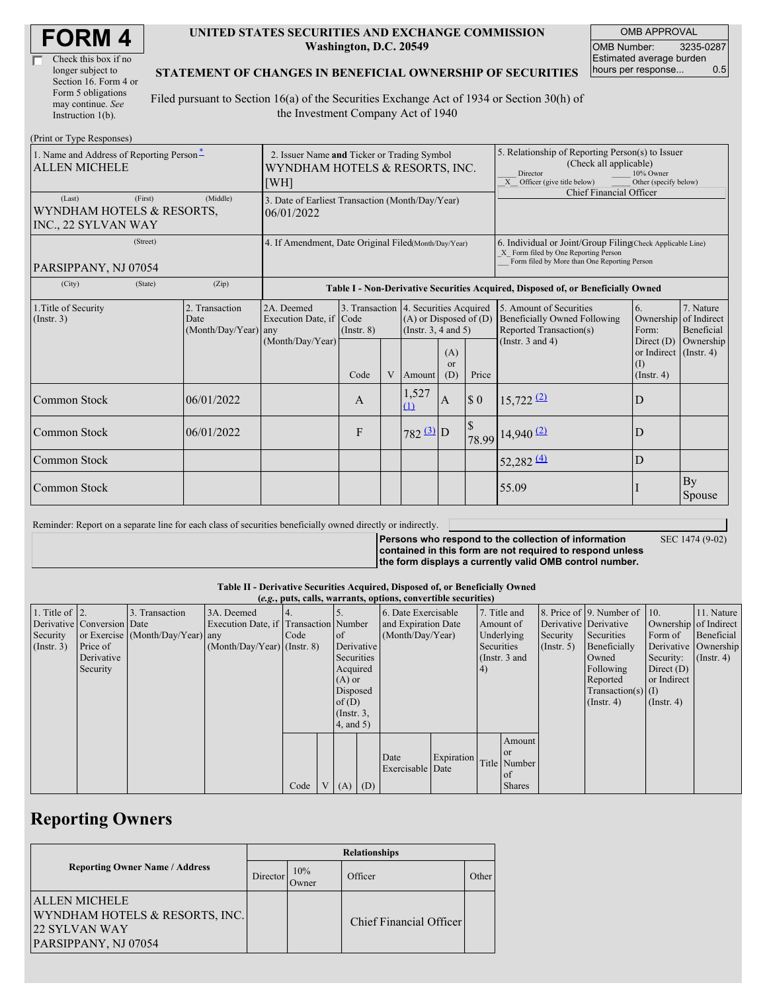| <b>FORM4</b> |
|--------------|
|--------------|

| Check this box if no  |
|-----------------------|
| longer subject to     |
| Section 16. Form 4 or |
| Form 5 obligations    |
| may continue. See     |
| Instruction 1(b).     |

#### **UNITED STATES SECURITIES AND EXCHANGE COMMISSION Washington, D.C. 20549**

OMB APPROVAL OMB Number: 3235-0287 Estimated average burden hours per response... 0.5

#### **STATEMENT OF CHANGES IN BENEFICIAL OWNERSHIP OF SECURITIES**

Filed pursuant to Section 16(a) of the Securities Exchange Act of 1934 or Section 30(h) of the Investment Company Act of 1940

| (Print or Type Responses)                                             |                                                                                                                                                                                                               |                                                                                  |      |                                                                                                                    |                                                      |                                             |                                                                                                                                                                                         |                        |                                                         |              |
|-----------------------------------------------------------------------|---------------------------------------------------------------------------------------------------------------------------------------------------------------------------------------------------------------|----------------------------------------------------------------------------------|------|--------------------------------------------------------------------------------------------------------------------|------------------------------------------------------|---------------------------------------------|-----------------------------------------------------------------------------------------------------------------------------------------------------------------------------------------|------------------------|---------------------------------------------------------|--------------|
| 1. Name and Address of Reporting Person-<br><b>ALLEN MICHELE</b>      | 2. Issuer Name and Ticker or Trading Symbol<br>WYNDHAM HOTELS & RESORTS, INC.<br>[WH]                                                                                                                         |                                                                                  |      |                                                                                                                    |                                                      |                                             | 5. Relationship of Reporting Person(s) to Issuer<br>(Check all applicable)<br>10% Owner<br>Director<br>Other (specify below)<br>X Officer (give title below)<br>Chief Financial Officer |                        |                                                         |              |
| (First)<br>(Last)<br>WYNDHAM HOTELS & RESORTS,<br>INC., 22 SYLVAN WAY | 3. Date of Earliest Transaction (Month/Day/Year)<br>06/01/2022                                                                                                                                                |                                                                                  |      |                                                                                                                    |                                                      |                                             |                                                                                                                                                                                         |                        |                                                         |              |
| (Street)<br>PARSIPPANY, NJ 07054                                      | 4. If Amendment, Date Original Filed(Month/Day/Year)                                                                                                                                                          |                                                                                  |      |                                                                                                                    |                                                      |                                             | 6. Individual or Joint/Group Filing(Check Applicable Line)<br>X Form filed by One Reporting Person<br>Form filed by More than One Reporting Person                                      |                        |                                                         |              |
| (City)<br>(State)                                                     | (Zip)                                                                                                                                                                                                         | Table I - Non-Derivative Securities Acquired, Disposed of, or Beneficially Owned |      |                                                                                                                    |                                                      |                                             |                                                                                                                                                                                         |                        |                                                         |              |
| 1. Title of Security<br>(Insert. 3)                                   | 2. Transaction<br>2A. Deemed<br>3. Transaction 4. Securities Acquired<br>Execution Date, if Code<br>$(A)$ or Disposed of $(D)$<br>Date<br>(Instr. $3, 4$ and $5$ )<br>(Month/Day/Year) any<br>$($ Instr. $8)$ |                                                                                  |      | 5. Amount of Securities<br><b>Beneficially Owned Following</b><br>Reported Transaction(s)<br>(Instr. $3$ and $4$ ) | 6.<br>Ownership of Indirect<br>Form:<br>Direct $(D)$ | 7. Nature<br><b>Beneficial</b><br>Ownership |                                                                                                                                                                                         |                        |                                                         |              |
|                                                                       |                                                                                                                                                                                                               | (Month/Day/Year)                                                                 | Code | V                                                                                                                  | Amount                                               | (A)<br>$\alpha$<br>(D)                      | Price                                                                                                                                                                                   |                        | or Indirect $($ Instr. 4 $)$<br>(I)<br>$($ Instr. 4 $)$ |              |
| Common Stock                                                          | 06/01/2022                                                                                                                                                                                                    |                                                                                  | A    |                                                                                                                    | 1,527<br>(1)                                         | $\mathbf{A}$                                | $\boldsymbol{\mathcal{S}}$ 0                                                                                                                                                            | $15,722$ $(2)$         | D                                                       |              |
| Common Stock                                                          | 06/01/2022                                                                                                                                                                                                    |                                                                                  | F    |                                                                                                                    | $782 \underline{3}$ D                                |                                             | S                                                                                                                                                                                       | 78.99 14,940 (2)       | D                                                       |              |
| Common Stock                                                          |                                                                                                                                                                                                               |                                                                                  |      |                                                                                                                    |                                                      |                                             |                                                                                                                                                                                         | $52,282 \frac{(4)}{2}$ | D                                                       |              |
| Common Stock                                                          |                                                                                                                                                                                                               |                                                                                  |      |                                                                                                                    |                                                      |                                             |                                                                                                                                                                                         | 55.09                  |                                                         | By<br>Spouse |

Reminder: Report on a separate line for each class of securities beneficially owned directly or indirectly.

**Persons who respond to the collection of information contained in this form are not required to respond unless the form displays a currently valid OMB control number.**

SEC 1474 (9-02)

**Table II - Derivative Securities Acquired, Disposed of, or Beneficially Owned**

| (e.g., puts, calls, warrants, options, convertible securities) |                            |                                  |                                       |      |               |                 |     |                     |                     |              |               |                      |                          |                       |            |
|----------------------------------------------------------------|----------------------------|----------------------------------|---------------------------------------|------|---------------|-----------------|-----|---------------------|---------------------|--------------|---------------|----------------------|--------------------------|-----------------------|------------|
| 1. Title of $\vert$ 2.                                         |                            | 3. Transaction                   | 3A. Deemed                            |      |               |                 |     | 6. Date Exercisable |                     | 7. Title and |               |                      | 8. Price of 9. Number of | 10.                   | 11. Nature |
|                                                                | Derivative Conversion Date |                                  | Execution Date, if Transaction Number |      |               |                 |     |                     | and Expiration Date |              | Amount of     |                      | Derivative Derivative    | Ownership of Indirect |            |
| Security                                                       |                            | or Exercise (Month/Day/Year) any |                                       | Code |               | of              |     | (Month/Day/Year)    |                     | Underlying   |               | Security             | Securities               | Form of               | Beneficial |
| $($ Instr. 3 $)$                                               | Price of                   |                                  | $(Month/Day/Year)$ (Instr. 8)         |      |               | Derivative      |     |                     |                     | Securities   |               | $($ Instr. 5 $)$     | Beneficially             | Derivative Ownership  |            |
|                                                                | Derivative                 |                                  |                                       |      |               | Securities      |     | (Instr. 3 and       |                     |              | Owned         | Security:            | $($ Instr. 4 $)$         |                       |            |
|                                                                | Security                   |                                  |                                       |      | Acquired      |                 | 4   |                     |                     | Following    | Direct $(D)$  |                      |                          |                       |            |
|                                                                |                            |                                  |                                       |      | $(A)$ or      |                 |     |                     |                     |              |               | Reported             | or Indirect              |                       |            |
|                                                                |                            |                                  |                                       |      | Disposed      |                 |     |                     |                     |              |               | Transaction(s) $(I)$ |                          |                       |            |
|                                                                |                            |                                  |                                       |      | of $(D)$      |                 |     |                     |                     |              |               | $($ Instr. 4 $)$     | $($ Instr. 4 $)$         |                       |            |
|                                                                |                            |                                  |                                       |      | $($ Instr. 3, |                 |     |                     |                     |              |               |                      |                          |                       |            |
|                                                                |                            |                                  |                                       |      |               | $4$ , and $5$ ) |     |                     |                     |              |               |                      |                          |                       |            |
|                                                                |                            |                                  |                                       |      |               |                 |     |                     |                     |              | Amount        |                      |                          |                       |            |
|                                                                |                            |                                  |                                       |      |               |                 |     |                     |                     |              | l or          |                      |                          |                       |            |
|                                                                |                            |                                  |                                       |      |               |                 |     | Date                | Expiration          |              | Title Number  |                      |                          |                       |            |
|                                                                |                            |                                  |                                       |      |               |                 |     | Exercisable Date    |                     |              | l of          |                      |                          |                       |            |
|                                                                |                            |                                  |                                       | Code |               | V(A)            | (D) |                     |                     |              | <b>Shares</b> |                      |                          |                       |            |

## **Reporting Owners**

|                                                                                                 | <b>Relationships</b> |              |                         |       |  |  |  |  |  |
|-------------------------------------------------------------------------------------------------|----------------------|--------------|-------------------------|-------|--|--|--|--|--|
| <b>Reporting Owner Name / Address</b>                                                           |                      | 10%<br>Jwner | Officer                 | Other |  |  |  |  |  |
| <b>ALLEN MICHELE</b><br>WYNDHAM HOTELS & RESORTS, INC.<br>22 SYLVAN WAY<br>PARSIPPANY, NJ 07054 |                      |              | Chief Financial Officer |       |  |  |  |  |  |